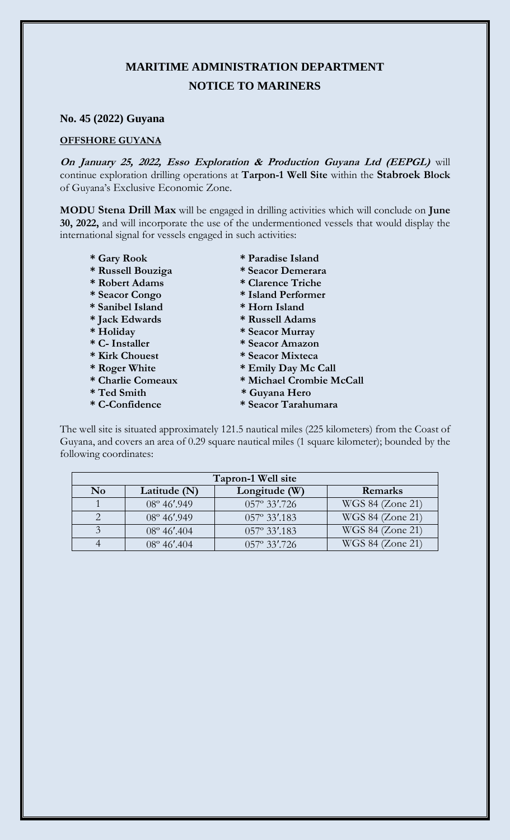## **MARITIME ADMINISTRATION DEPARTMENT NOTICE TO MARINERS**

## **No. 45 (2022) Guyana**

## **OFFSHORE GUYANA**

**On January 25, 2022, Esso Exploration & Production Guyana Ltd (EEPGL)** will continue exploration drilling operations at **Tarpon-1 Well Site** within the **Stabroek Block** of Guyana's Exclusive Economic Zone.

**MODU Stena Drill Max** will be engaged in drilling activities which will conclude on **June 30, 2022,** and will incorporate the use of the undermentioned vessels that would display the international signal for vessels engaged in such activities:

- 
- 
- 
- 
- **\* Sanibel Island \* Horn Island**
- 
- 
- 
- 
- 
- 
- 
- 
- **\* Gary Rook \* Paradise Island**
- **\* Russell Bouziga \* Seacor Demerara**
- **\* Robert Adams \* Clarence Triche** 
	- **\* Seacor Congo \* Island Performer**
	-
- **\* Jack Edwards \* Russell Adams**
- **\* Holiday \* Seacor Murray**
- **\* C- Installer \* Seacor Amazon**
- \* Kirk Chouest \* Seacor Mixteca \* Roger White \* Emily Day Mc
	-
- \* Roger White \* Emily Day Mc Call<br>\* Charlie Comeaux \* Michael Crombie M  $*$  Michael Crombie McCall
- **\* Ted Smith \* Guyana Hero**
- **\* C-Confidence \* Seacor Tarahumara**

The well site is situated approximately 121.5 nautical miles (225 kilometers) from the Coast of Guyana, and covers an area of 0.29 square nautical miles (1 square kilometer); bounded by the following coordinates:

| Tapron-1 Well site |                       |                       |                  |
|--------------------|-----------------------|-----------------------|------------------|
| N <sub>0</sub>     | Latitude $(N)$        | Longitude $(W)$       | Remarks          |
|                    | $08^{\circ} 46'$ .949 | 057° 33'.726          | WGS 84 (Zone 21) |
|                    | $08^{\circ}$ 46'.949  | $057^{\circ}$ 33'.183 | WGS 84 (Zone 21) |
|                    | $08^{\circ}$ 46'.404  | 057° 33'.183          | WGS 84 (Zone 21) |
|                    | $08^{\circ}$ 46'.404  | $057^{\circ}$ 33'.726 | WGS 84 (Zone 21) |